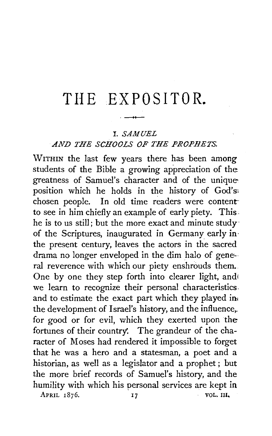# THE EXPOSITOR.

# I. *SAMUEL*

# *AND THE SCHOOLS OF TllE PROPHETS.*

WITHIN the last few years there has been among students of the Bible a growing appreciation of the greatness of Samuel's character and of the uniqueposition which he holds in the history of God's: chosen people. In old time readers were contentto see in him chiefly an example of early piety. This. he is to us still; but the more exact and minute study· of the Scriptures, inaugurated in Germany early in· the present century, leaves the actors in the sacred drama no longer enveloped in the dim halo of general reverence with which our piety enshrouds them. One by one they step forth into clearer light, and we learn to recognize their personal characteristics. and to estimate the exact part which they played in the development of Israel's history, and the influence,. for good or for evil, which they exerted upon the fortunes of their country': The grandeur of the character of Moses had rendered it impossible to forget that he was a hero and a statesman, a poet and a historian, as well as a legislator and a prophet ; but the more brief records of Samuel's history, and the humility with which his personal services are kept in APRIL 1876. 17 VOL. III.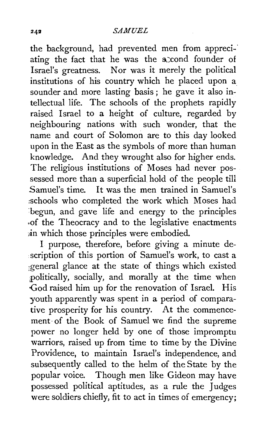the background, had prevented men from appreci-· ating the fact that he was the second founder of Israel's greatness. Nor was it merely the political institutions of his country which he placed upon a sounder and more lasting basis; he gave it also intellectual life. The schools of the prophets rapidly raised Israel to a height of culture, regarded by neighbouring nations with such wonder, that the name and court of Solomon are to this day looked upon in the East as the symbols of more than human knowledge. And they wrought also for higher ends. The religious institutions of Moses had never possessed more than a superficial hold of the people till Samuel's time. It was the men trained in Samuel's :schools who completed the work which Moses had begun, and gave life and energy to the principles ,of the Theocracy and to the legislative enactments in which those principles were embodied.

I purpose, therefore, before giving a minute description of this portion of Samuel's work, to cast a general glance at the state of things which existed politically, socially, and morally at the time when God raised him up for the renovation of Israel. His youth apparently was spent in a period of comparative prosperity for his country. At the commencement· of the Book of Samuel we find the supreme power no longer held by one of those impromptu warriors, raised up from time to time by the Divine Providence, to maintain Israel's independence, and subsequently called to the helm of the State by the popular voice. Though men like Gideon may have possessed political aptitudes, as a rule the Judges were soldiers chiefly, fit to act in times of emergency;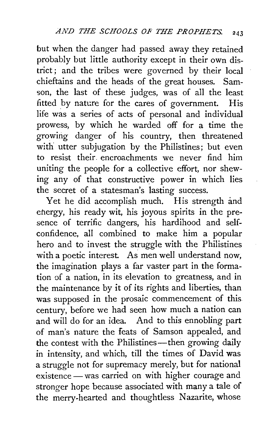but when the danger had passed away they retained probably but little authority except in their own district ; and the tribes were governed by their local chieftains and the heads of the great houses. Samson, the last of these judges, was of all the least fitted by nature for the cares of government. His life was a series of acts of personal and individual prowess, by which he warded off for a time the growing danger of his country, then threatened with utter subjugation by the Philistines; but even to resist their. encroachments we never find him uniting the people for a collective effort, nor shewing any of that constructive power in which lies the secret of a statesman's lasting success.

Yet he did accomplish much. His strength and energy, his ready wit, his joyous spirits in the presence of terrific dangers, his hardihood and selfconfidence, all combined to make him a popular hero and to invest the struggle with the Philistines with a poetic interest. As men well understand now, the imagination plays a far vaster part in the formation of a nation, in its elevation to greatness, and in the maintenance by it of its rights and liberties, than was supposed in the prosaic commencement of this century, before we had seen how much a nation can and will do for an idea. And to this ennobling part of man's nature the feats of Samson appealed, and the contest with the Philistines—then growing daily in intensity, and which, till the times of David was a struggle not for supremacy merely, but for national existence — was carried on with higher courage and stronger hope because associated with many a tale of the merry-hearted and thoughtless Nazarite, whose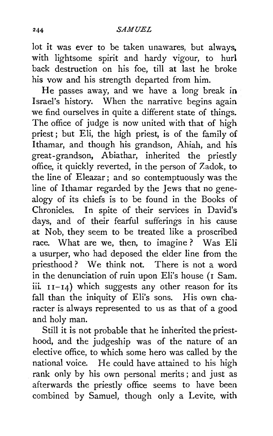lot it was ever to be taken unawares, but always. with lightsome spirit and hardy vigour, to hurl back destruction on his foe, till at last he broke his vow and his strength departed from him.

He passes away, and we have a long break in Israel's history. When the narrative begins again we find ourselves in quite a different state of things. The office of judge is now united with that of high priest; but Eli, the high priest, is of the family of Ithamar, and though his grandson, Ahiah, and his great-grandson, Abiathar, inherited the priestly office, it quickly reverted, in the person of Zadok, to the line of Eleazar; and so contemptuously was the line of Ithamar regarded by the Jews that no genealogy of its chiefs is to be found in the Books of Chronicles. In spite of their services in David's days, and of their fearful sufferings in his cause at Nob, they seem to be treated like a proscribed race. What are we, then, to imagine ? Was Eli a usurper, who had deposed the elder line from the priesthood ? We think not. There is not a word in the denunciation of ruin upon Eli's house (1 Sam. iii. II-I4) which suggests any other reason for its fall than the iniquity of Eli's sons. His own character is always represented to us as that of a good and holy man.

Still it is not probable that he inherited the priesthood, and the judgeship was of the nature of an elective office, to which some hero was called by the national voice. He could have attained to his high rank only by his own personal merits ; and just as afterwards the priestly office seems to have been combined by Samuel, though only a Levite, with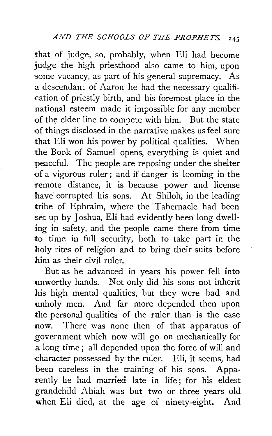that of judge, so, probably, when Eli had become judge the high priesthood also came to him, upon some vacancy, as part of his general supremacy. As a descendant of Aaron he had the necessary qualification of priestly birth, and his foremost place in the national esteem made it impossible for any member of the elder line to compete with him. But the state of things disclosed in the narrative makes us feel sure that Eli won his power by political qualities. When the Book of Samuel opens, everything is quiet and peaceful. The people are reposing under the shelter of a vigorous ruler ; and if danger is looming in the remote distance, it is because power and license have corrupted his sons. At Shiloh, in the leading tribe of Ephraim, where the Tabernacle had been set up by Joshua, Eli had evidently been long dwelling in safety, and the people came there from time to time in full security, both to take part in the holy rites of religion and to bring their suits before him as their civil ruler.

But as he advanced in years his power fell into unworthy hands. Not only did his sons not inherit his high mental qualities, but they were bad and unholy men. And far more depended then upon the personal qualities of the ruler than is the case now. There was none then of that apparatus of government which now will go on mechanically for a long time ; all depended upon the force of will and character possessed by the ruler. Eli, it seems, had been careless in the training of his sons. Appa· rently he had married late in life; for his eldest grandchild Ahiah was but two or three years old when Eli died, at the age of ninety-eight. And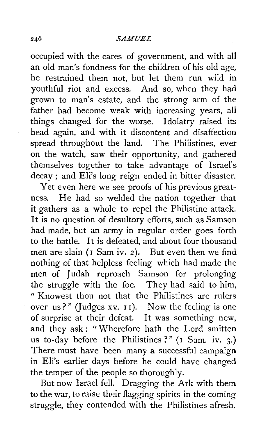### *SAMUEL*

occupied with the cares of government, and with all an old man's fondness for the children of his old age, he restrained them not, but let them run wild in youthful riot and excess. And so, when they had grown to man's estate, and the strong arm of the father had become weak with increasing years, all things changed for the worse. Idolatry raised its head again, and with it discontent and disaffection spread throughout the land. The Philistines, ever on the watch, saw their opportunity, and gathered themselves together to take advantage of Israel's decay ; and Eli's long reign ended in bitter disaster.

Yet even here we see proofs of his previous greatness. He had so welded the nation together that it gathers as a whole to repel the Philistine attack. It is no question of desultory efforts, such as Samson had made, but an army in regular order goes forth to the battle. It is defeated, and about four thousand men are slain ( $I$  Sam iv. 2). But even then we find nothing of that helpless feeling which had made the men of Judah reproach Samson for prolonging the struggle with the foe. They had said to him, " Knowest thou not that the Philistines are rulers over us?" (Judges xv.  $11$ ). Now the feeling is one of surprise at their defeat. It was something new, and they ask: "Wherefore hath the Lord smitten us to-day before the Philistines ?" ( $I$  Sam. iv. 3.) There must have been many a successful campaign in Eli's earlier days before he could have changed the temper of the people so thoroughly.

But now Israel fell. Dragging the Ark with them to the war, to raise their flagging spirits in the coming struggle, they contended with the Philistines afresh.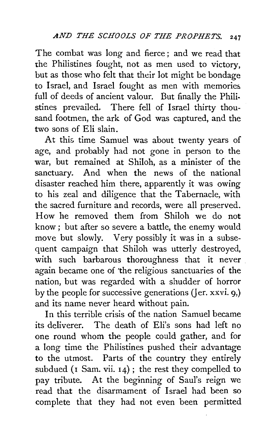The combat was long and fierce ; and we read that the Philistines fought, not as men used to victory, but as those who felt that their lot might be bondage to Israel, and Israel fought as men with memories full of deeds of ancient valour. But finally the Philistines prevailed. There fell of Israel thirty thousand footmen, the ark of God was captured, and the two sons of Eli slain.

At this time Samuel was about twenty years of age, and probably had not gone in person to the war, but remained at Shiloh, as a minister of the sanctuary. And when the news of the national disaster reached him there, apparently it was owing to his zeal and diligence that the Tabernacle, with the sacred furniture and records, were all preserved. How he removed them from Shiloh we do not know ; but after so severe a battle, the enemy would move but slowly. Very possibly it was in a subsequent campaign that Shiloh was utterly destroyed, with such barbarous thoroughness that it never again became one of 'the religious sanctuaries of the nation, but was regarded with a shudder of horror by the people for successive generations (Jer. xxvi.  $9$ ) and its name never heard without pain.

In this terrible crisis of the nation Samuel became its deliverer. The death of Eli's sons had left no one round whom the people could gather, and for a long time the Philistines pushed their advantage to the utmost. Parts of the country they entirely subdued ( $\bar{1}$  Sam. vii.  $\bar{1}4$ ); the rest they compelled to pay tribute. At the beginning of Saul's reign we read that the disarmament of Israel had been so complete that they had not even been permitted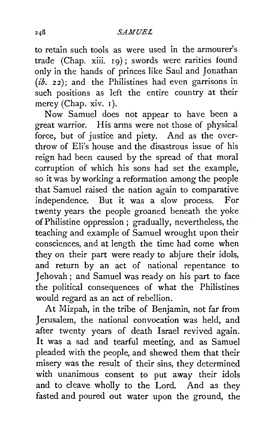to retain such tools as were used in the armourer's trade (Chap. xiii. 19); swords were rarities found only in the hands of princes like Saul and Jonathan *(ib.* 22); and the Philistines had even garrisons in such positions as left the entire country at their mercy (Chap. xiv. 1).

Now Samuel does not appear to have been a great warrior. His arms were not those of physical force, but of justice and piety. And as the overthrow of Eli's house and the disastrous issue of his reign had been caused by the spread of that moral corruption of which his sons had set the example, so it was by working a reformation among the people that Samuel raised the nation again to comparative independence. But it was a slow process. For twenty years the people groaned beneath the yoke of Philistine oppression ; gradually, nevertheless, the teaching and example of Samuel wrought upon their consciences, and at length the time had come when they on their part were ready to abjure their idols, and return by an act of national repentance to Jehovah ; and Samuel was ready on his part to face the political consequences of what the Philistines would regard as an act of rebellion.

At Mizpah, in the tribe of Benjamin, not far from Jerusalem, the national convocation was held, and after twenty years of death Israel revived again. It was a sad and tearful meeting, and as Samuel pleaded with the people, and shewed them that their misery was the result of their sins, they determined with unanimous consent to put away their idols and to cleave wholly to the Lord. And as they fasted and poured out water upon the ground, the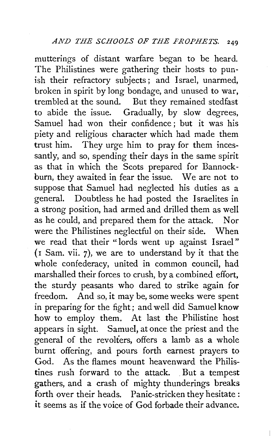mutterings of distant warfare began to be heard. The Philistines were gathering their hosts to punish their refractory subjects; and Israel, unarmed, broken in spirit by long bondage, and unused to war, trembled at the sound. But they remained stedfast to abide the issue. Gradually, by slow degrees, Samuel had won their confidence ; but it was his piety and religious character which had made them trust him. They urge him to pray for them incessantly, and so, spending their days in the same spirit as that in which the Scots prepared for Bannockburn, they awaited in fear the issue. We are not to suppose that Samuel had neglected his duties as a general. Doubtless he had posted the Israelites in a strong position, had armed and drilled them as well as he could, and prepared them for the attack. Nor were the Philistines neglectful on their side. When we read that their "lords went up against Israel"  $($ I Sam. vii.  $7)$ , we are to understand by it that the whole confederacy, united in common council, had marshalled their forces to crush, by a combined effort, the sturdy peasants who dared to strike again for freedom. And so, it may be, some weeks were spent in preparing for the fight; and well did Samuel know how to employ them. At last the Philistine host appears in sight. Samuel, at once the priest and the general of the revolters, offers a lamb as a whole burnt offering, and pours forth earnest prayers to God. As the flames mount heavenward the Philistines rush forward to the attack. But a tempest gathers, and a crash of mighty thunderings breaks forth over their heads. Panic-stricken they hesitate : it seems as if the voice of God forbade their advance.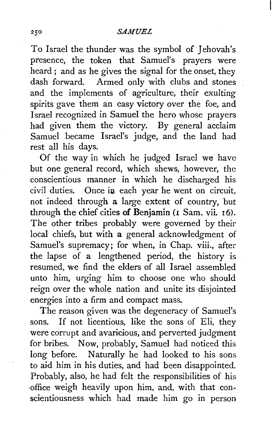### *SAMUEL*

To Israel the thunder was the symbol of Jehovah's presence, the token that Samuel's prayers were heard ; and as he gives the signal for the onset, they dash forward. Armed only with clubs and stones and the implements of agriculture, their exulting spirits gave them an easy victory over the foe, and Israel recognized in Samuel the hero whose prayers had given them the victory. By general acclaim Samuel became Israel's judge, and the land had rest all his days.

Of the way in which he judged Israel we have but one general record, which shews, however, the conscientious manner in which he discharged his civil duties. Once in each year he went on circuit, not indeed through a large extent of country, but through the chief cities of Benjamin (I Sam. vii. 16). The other tribes probably were governed by their local chiefs, but with a general acknowledgment of Samuel's supremacy; for when, in Chap. viii., after the lapse of a lengthened period, the history is resumed, we find the elders of all Israel assembled unto him, urging him to choose one who should reign over the whole nation and unite its disjointed energies into a firm and compact mass.

The reason given was the degeneracy of Samuel's sons. If not licentious, like the sons of Eli, they were corrupt and avaricious, and perverted judgment for bribes. Now, probably, Samuel had noticed this long before. Naturally he had looked to his sons to aid him in his duties, and had been disappointed. Probably, also, he had felt the responsibilities of his ·office weigh heavily upon him, and, with that conscientiousness which had made him go in person